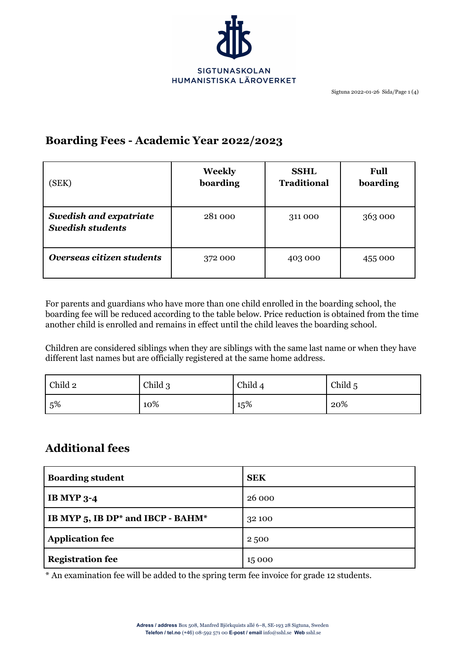

# **Boarding Fees - Academic Year 2022/2023**

| (SEK)                                                    | Weekly<br>boarding | <b>SSHL</b><br><b>Traditional</b> | <b>Full</b><br>boarding |
|----------------------------------------------------------|--------------------|-----------------------------------|-------------------------|
| <b>Swedish and expatriate</b><br><b>Swedish students</b> | 281000             | 311 000                           | 363 000                 |
| Overseas citizen students                                | 372 000            | 403 000                           | 455 000                 |

For parents and guardians who have more than one child enrolled in the boarding school, the boarding fee will be reduced according to the table below. Price reduction is obtained from the time another child is enrolled and remains in effect until the child leaves the boarding school.

Children are considered siblings when they are siblings with the same last name or when they have different last names but are officially registered at the same home address.

| Child 2 | Child 3 | Child 4 | Child 5 |
|---------|---------|---------|---------|
| 5%      | 10%     | 15%     | 20%     |

# **Additional fees**

| <b>Boarding student</b>           | <b>SEK</b> |
|-----------------------------------|------------|
| <b>IB MYP 3-4</b>                 | 26 000     |
| IB MYP 5, IB DP* and IBCP - BAHM* | 32 100     |
| <b>Application fee</b>            | 2500       |
| <b>Registration fee</b>           | 15 000     |

\* An examination fee will be added to the spring term fee invoice for grade 12 students.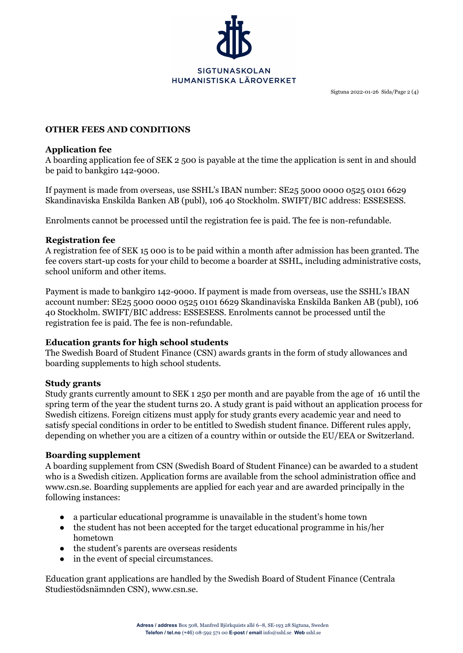

Sigtuna 2022-01-26 Sida/Page 2 (4)

## **OTHER FEES AND CONDITIONS**

## **Application fee**

A boarding application fee of SEK 2 500 is payable at the time the application is sent in and should be paid to bankgiro 142-9000.

If payment is made from overseas, use SSHL's IBAN number: SE25 5000 0000 0525 0101 6629 Skandinaviska Enskilda Banken AB (publ), 106 40 Stockholm. SWIFT/BIC address: ESSESESS.

Enrolments cannot be processed until the registration fee is paid. The fee is non-refundable.

## **Registration fee**

A registration fee of SEK 15 000 is to be paid within a month after admission has been granted. The fee covers start-up costs for your child to become a boarder at SSHL, including administrative costs, school uniform and other items.

Payment is made to bankgiro 142-9000. If payment is made from overseas, use the SSHL's IBAN account number: SE25 5000 0000 0525 0101 6629 Skandinaviska Enskilda Banken AB (publ), 106 40 Stockholm. SWIFT/BIC address: ESSESESS. Enrolments cannot be processed until the registration fee is paid. The fee is non-refundable.

# **Education grants for high school students**

The Swedish Board of Student Finance (CSN) awards grants in the form of study allowances and boarding supplements to high school students.

# **Study grants**

Study grants currently amount to SEK 1 250 per month and are payable from the age of 16 until the spring term of the year the student turns 20. A study grant is paid without an application process for Swedish citizens. Foreign citizens must apply for study grants every academic year and need to satisfy special conditions in order to be entitled to Swedish student finance. Different rules apply, depending on whether you are a citizen of a country within or outside the EU/EEA or Switzerland.

# **Boarding supplement**

A boarding supplement from CSN (Swedish Board of Student Finance) can be awarded to a student who is a Swedish citizen. Application forms are available from the school administration office and www.csn.se. Boarding supplements are applied for each year and are awarded principally in the following instances:

- a particular educational programme is unavailable in the student's home town
- the student has not been accepted for the target educational programme in his/her hometown
- the student's parents are overseas residents
- in the event of special circumstances.

Education grant applications are handled by the Swedish Board of Student Finance (Centrala Studiestödsnämnden CSN), www.csn.se.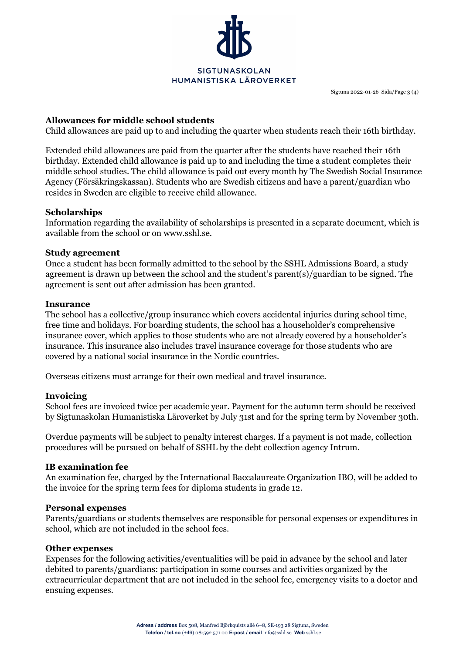

Sigtuna 2022-01-26 Sida/Page 3 (4)

## **Allowances for middle school students**

Child allowances are paid up to and including the quarter when students reach their 16th birthday.

Extended child allowances are paid from the quarter after the students have reached their 16th birthday. Extended child allowance is paid up to and including the time a student completes their middle school studies. The child allowance is paid out every month by The Swedish Social Insurance Agency (Försäkringskassan). Students who are Swedish citizens and have a parent/guardian who resides in Sweden are eligible to receive child allowance.

## **Scholarships**

Information regarding the availability of scholarships is presented in a separate document, which is available from the school or on www.sshl.se.

## **Study agreement**

Once a student has been formally admitted to the school by the SSHL Admissions Board, a study agreement is drawn up between the school and the student's parent(s)/guardian to be signed. The agreement is sent out after admission has been granted.

#### **Insurance**

The school has a collective/group insurance which covers accidental injuries during school time, free time and holidays. For boarding students, the school has a householder's comprehensive insurance cover, which applies to those students who are not already covered by a householder's insurance. This insurance also includes travel insurance coverage for those students who are covered by a national social insurance in the Nordic countries.

Overseas citizens must arrange for their own medical and travel insurance.

## **Invoicing**

School fees are invoiced twice per academic year. Payment for the autumn term should be received by Sigtunaskolan Humanistiska Läroverket by July 31st and for the spring term by November 30th.

Overdue payments will be subject to penalty interest charges. If a payment is not made, collection procedures will be pursued on behalf of SSHL by the debt collection agency Intrum.

## **IB examination fee**

An examination fee, charged by the International Baccalaureate Organization IBO, will be added to the invoice for the spring term fees for diploma students in grade 12.

#### **Personal expenses**

Parents/guardians or students themselves are responsible for personal expenses or expenditures in school, which are not included in the school fees.

#### **Other expenses**

Expenses for the following activities/eventualities will be paid in advance by the school and later debited to parents/guardians: participation in some courses and activities organized by the extracurricular department that are not included in the school fee, emergency visits to a doctor and ensuing expenses.